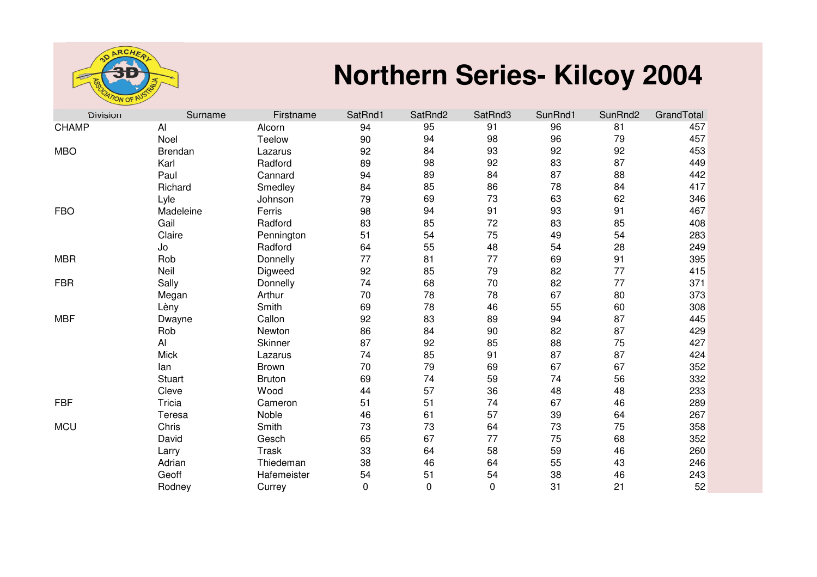

## **Northern Series- Kilcoy 2004**

| <b>Division</b> | Surname        | Firstname     | SatRnd1  | SatRnd2     | SatRnd3     | SunRnd1 | SunRnd2 | GrandTotal |
|-----------------|----------------|---------------|----------|-------------|-------------|---------|---------|------------|
| <b>CHAMP</b>    | Al             | Alcorn        | 94       | 95          | 91          | 96      | 81      | 457        |
|                 | Noel           | Teelow        | 90       | 94          | 98          | 96      | 79      | 457        |
| <b>MBO</b>      | <b>Brendan</b> | Lazarus       | 92       | 84          | 93          | 92      | 92      | 453        |
|                 | Karl           | Radford       | 89       | 98          | 92          | 83      | 87      | 449        |
|                 | Paul           | Cannard       | 94       | 89          | 84          | 87      | 88      | 442        |
|                 | Richard        | Smedley       | 84       | 85          | 86          | 78      | 84      | 417        |
|                 | Lyle           | Johnson       | 79       | 69          | 73          | 63      | 62      | 346        |
| <b>FBO</b>      | Madeleine      | Ferris        | 98       | 94          | 91          | 93      | 91      | 467        |
|                 | Gail           | Radford       | 83       | 85          | 72          | 83      | 85      | 408        |
|                 | Claire         | Pennington    | 51       | 54          | 75          | 49      | 54      | 283        |
|                 | Jo             | Radford       | 64       | 55          | 48          | 54      | 28      | 249        |
| <b>MBR</b>      | Rob            | Donnelly      | 77       | 81          | 77          | 69      | 91      | 395        |
|                 | Neil           | Digweed       | 92       | 85          | 79          | 82      | 77      | 415        |
| <b>FBR</b>      | Sally          | Donnelly      | 74       | 68          | 70          | 82      | 77      | 371        |
|                 | Megan          | Arthur        | 70       | 78          | 78          | 67      | 80      | 373        |
|                 | Lèny           | Smith         | 69       | 78          | 46          | 55      | 60      | 308        |
| <b>MBF</b>      | Dwayne         | Callon        | 92       | 83          | 89          | 94      | 87      | 445        |
|                 | Rob            | Newton        | 86       | 84          | 90          | 82      | 87      | 429        |
|                 | AI             | Skinner       | 87       | 92          | 85          | 88      | 75      | 427        |
|                 | <b>Mick</b>    | Lazarus       | 74       | 85          | 91          | 87      | 87      | 424        |
|                 | lan            | <b>Brown</b>  | 70       | 79          | 69          | 67      | 67      | 352        |
|                 | <b>Stuart</b>  | <b>Bruton</b> | 69       | 74          | 59          | 74      | 56      | 332        |
|                 | Cleve          | Wood          | 44       | 57          | 36          | 48      | 48      | 233        |
| <b>FBF</b>      | Tricia         | Cameron       | 51       | 51          | 74          | 67      | 46      | 289        |
|                 | Teresa         | Noble         | 46       | 61          | 57          | 39      | 64      | 267        |
| <b>MCU</b>      | Chris          | Smith         | 73       | 73          | 64          | 73      | 75      | 358        |
|                 | David          | Gesch         | 65       | 67          | 77          | 75      | 68      | 352        |
|                 | Larry          | <b>Trask</b>  | 33       | 64          | 58          | 59      | 46      | 260        |
|                 | Adrian         | Thiedeman     | 38       | 46          | 64          | 55      | 43      | 246        |
|                 | Geoff          | Hafemeister   | 54       | 51          | 54          | 38      | 46      | 243        |
|                 | Rodney         | Currey        | $\Omega$ | $\mathbf 0$ | $\mathbf 0$ | 31      | 21      | 52         |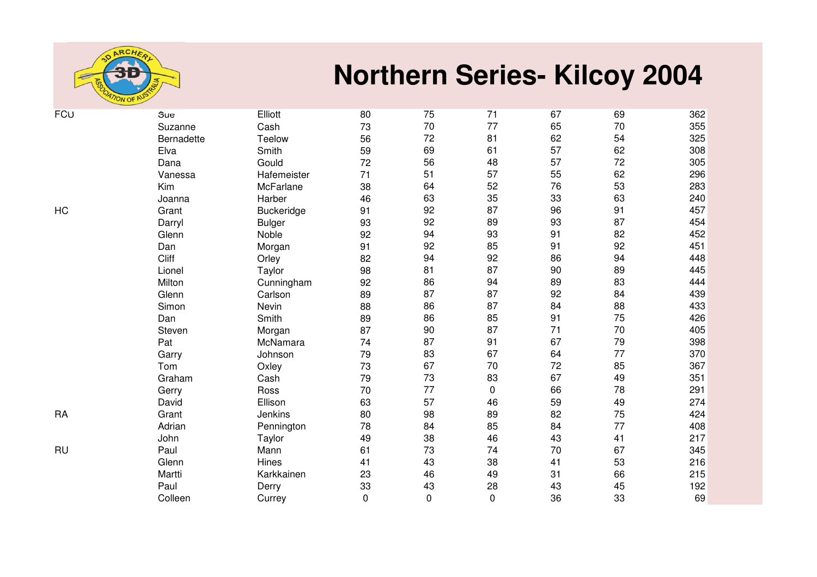

## **Northern Series- Kilcoy 2004**

| <b>FCU</b> | Sue        | Elliott       | 80        | 75 | 71          | 67 | 69 | 362 |
|------------|------------|---------------|-----------|----|-------------|----|----|-----|
|            | Suzanne    | Cash          | 73        | 70 | 77          | 65 | 70 | 355 |
|            | Bernadette | Teelow        | 56        | 72 | 81          | 62 | 54 | 325 |
|            | Elva       | Smith         | 59        | 69 | 61          | 57 | 62 | 308 |
|            | Dana       | Gould         | 72        | 56 | 48          | 57 | 72 | 305 |
|            | Vanessa    | Hafemeister   | 71        | 51 | 57          | 55 | 62 | 296 |
|            | Kim        | McFarlane     | 38        | 64 | 52          | 76 | 53 | 283 |
|            | Joanna     | Harber        | 46        | 63 | 35          | 33 | 63 | 240 |
| <b>HC</b>  | Grant      | Buckeridge    | 91        | 92 | 87          | 96 | 91 | 457 |
|            | Darryl     | <b>Bulger</b> | 93        | 92 | 89          | 93 | 87 | 454 |
|            | Glenn      | Noble         | 92        | 94 | 93          | 91 | 82 | 452 |
|            | Dan        | Morgan        | 91        | 92 | 85          | 91 | 92 | 451 |
|            | Cliff      | Orley         | 82        | 94 | 92          | 86 | 94 | 448 |
|            | Lionel     | Taylor        | 98        | 81 | 87          | 90 | 89 | 445 |
|            | Milton     | Cunningham    | 92        | 86 | 94          | 89 | 83 | 444 |
|            | Glenn      | Carlson       | 89        | 87 | 87          | 92 | 84 | 439 |
|            | Simon      | Nevin         | 88        | 86 | 87          | 84 | 88 | 433 |
|            | Dan        | Smith         | 89        | 86 | 85          | 91 | 75 | 426 |
|            | Steven     | Morgan        | 87        | 90 | 87          | 71 | 70 | 405 |
|            | Pat        | McNamara      | 74        | 87 | 91          | 67 | 79 | 398 |
|            | Garry      | Johnson       | 79        | 83 | 67          | 64 | 77 | 370 |
|            | Tom        | Oxley         | 73        | 67 | 70          | 72 | 85 | 367 |
|            | Graham     | Cash          | 79        | 73 | 83          | 67 | 49 | 351 |
|            | Gerry      | Ross          | 70        | 77 | 0           | 66 | 78 | 291 |
|            | David      | Ellison       | 63        | 57 | 46          | 59 | 49 | 274 |
| <b>RA</b>  | Grant      | Jenkins       | 80        | 98 | 89          | 82 | 75 | 424 |
|            | Adrian     | Pennington    | 78        | 84 | 85          | 84 | 77 | 408 |
|            | John       | Taylor        | 49        | 38 | 46          | 43 | 41 | 217 |
| <b>RU</b>  | Paul       | Mann          | 61        | 73 | 74          | 70 | 67 | 345 |
|            | Glenn      | Hines         | 41        | 43 | 38          | 41 | 53 | 216 |
|            | Martti     | Karkkainen    | 23        | 46 | 49          | 31 | 66 | 215 |
|            | Paul       | Derry         | 33        | 43 | 28          | 43 | 45 | 192 |
|            | Colleen    | Currey        | $\pmb{0}$ | 0  | $\mathbf 0$ | 36 | 33 | 69  |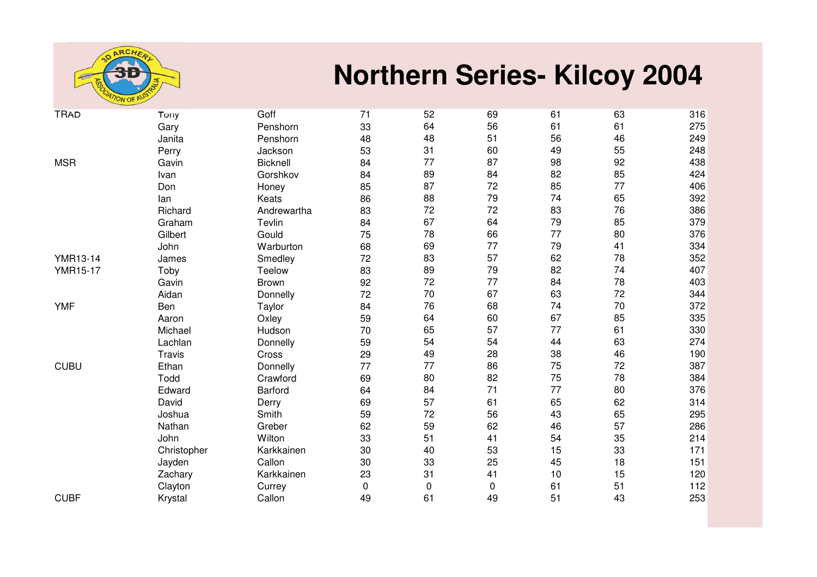